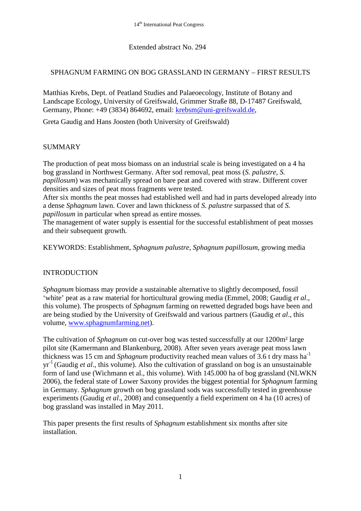## Extended abstract No. 294

# SPHAGNUM FARMING ON BOG GRASSLAND IN GERMANY – FIRST RESULTS

Matthias Krebs, Dept. of Peatland Studies and Palaeoecology, Institute of Botany and Landscape Ecology, University of Greifswald, Grimmer Straße 88, D-17487 Greifswald, Germany, Phone: +49 (3834) 864692, email: [krebsm@uni-greifswald.de,](mailto:krebsm@uni-greifswald.de)

Greta Gaudig and Hans Joosten (both University of Greifswald)

### **SUMMARY**

The production of peat moss biomass on an industrial scale is being investigated on a 4 ha bog grassland in Northwest Germany. After sod removal, peat moss (*S. palustre*, *S. papillosum*) was mechanically spread on bare peat and covered with straw. Different cover densities and sizes of peat moss fragments were tested.

After six months the peat mosses had established well and had in parts developed already into a dense *Sphagnum* lawn. Cover and lawn thickness of *S. palustre* surpassed that of *S. papillosum* in particular when spread as entire mosses*.*

The management of water supply is essential for the successful establishment of peat mosses and their subsequent growth.

KEYWORDS: Establishment, *Sphagnum palustre, Sphagnum papillosum*, growing media

# INTRODUCTION

*Sphagnum* biomass may provide a sustainable alternative to slightly decomposed, fossil 'white' peat as a raw material for horticultural growing media (Emmel, 2008; Gaudig *et al*., this volume). The prospects of *Sphagnum* farming on rewetted degraded bogs have been and are being studied by the University of Greifswald and various partners (Gaudig *et al*., this volume, [www.sphagnumfarming.net\)](http://www.sphagnumfarming.net/).

The cultivation of *Sphagnum* on cut-over bog was tested successfully at our 1200m² large pilot site (Kamermann and Blankenburg, 2008). After seven years average peat moss lawn thickness was 15 cm and *Sphagnum* productivity reached mean values of 3.6 t dry mass ha<sup>-1</sup> yr-1 (Gaudig *et al*., this volume). Also the cultivation of grassland on bog is an unsustainable form of land use (Wichmann et al., this volume). With 145.000 ha of bog grassland (NLWKN 2006), the federal state of Lower Saxony provides the biggest potential for *Sphagnum* farming in Germany. *Sphagnum* growth on bog grassland sods was successfully tested in greenhouse experiments (Gaudig *et al*., 2008) and consequently a field experiment on 4 ha (10 acres) of bog grassland was installed in May 2011.

This paper presents the first results of *Sphagnum* establishment six months after site installation.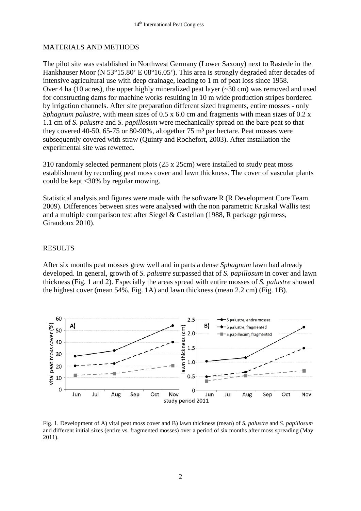## MATERIALS AND METHODS

The pilot site was established in Northwest Germany (Lower Saxony) next to Rastede in the Hankhauser Moor (N 53°15.80' E 08°16.05'). This area is strongly degraded after decades of intensive agricultural use with deep drainage, leading to 1 m of peat loss since 1958. Over 4 ha (10 acres), the upper highly mineralized peat layer (~30 cm) was removed and used for constructing dams for machine works resulting in 10 m wide production stripes bordered by irrigation channels. After site preparation different sized fragments, entire mosses - only *Sphagnum palustre*, with mean sizes of 0.5 x 6.0 cm and fragments with mean sizes of 0.2 x 1.1 cm of *S. palustre* and *S. papillosum* were mechanically spread on the bare peat so that they covered 40-50, 65-75 or 80-90%, altogether  $75 \text{ m}^3$  per hectare. Peat mosses were subsequently covered with straw (Quinty and Rochefort, 2003). After installation the experimental site was rewetted.

310 randomly selected permanent plots (25 x 25cm) were installed to study peat moss establishment by recording peat moss cover and lawn thickness. The cover of vascular plants could be kept <30% by regular mowing.

Statistical analysis and figures were made with the software R (R Development Core Team 2009). Differences between sites were analysed with the non parametric Kruskal Wallis test and a multiple comparison test after Siegel & Castellan (1988, R package pgirmess, Giraudoux 2010).

### RESULTS

After six months peat mosses grew well and in parts a dense *Sphagnum* lawn had already developed. In general, growth of *S. palustre* surpassed that of *S. papillosum* in cover and lawn thickness (Fig. 1 and 2). Especially the areas spread with entire mosses of *S. palustre* showed the highest cover (mean 54%, Fig. 1A) and lawn thickness (mean 2.2 cm) (Fig. 1B).



Fig. 1. Development of A) vital peat moss cover and B) lawn thickness (mean) of *S. palustre* and *S. papillosum* and different initial sizes (entire vs. fragmented mosses) over a period of six months after moss spreading (May 2011).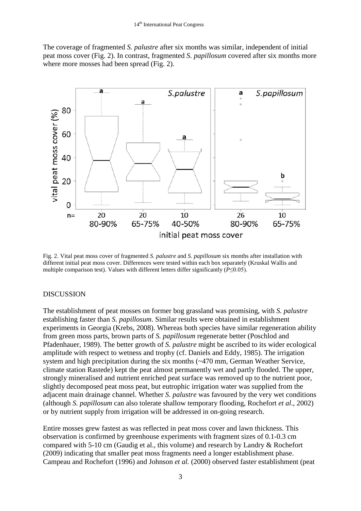The coverage of fragmented *S. palustre* after six months was similar, independent of initial peat moss cover (Fig. 2). In contrast, fragmented *S. papillosum* covered after six months more where more mosses had been spread (Fig. 2).



Fig. 2. Vital peat moss cover of fragmented *S. palustre* and *S. papillosum* six months after installation with different initial peat moss cover. Differences were tested within each box separately (Kruskal Wallis and multiple comparison test). Values with different letters differ significantly ( $P \le 0.05$ ).

#### DISCUSSION

The establishment of peat mosses on former bog grassland was promising, with *S. palustre* establishing faster than *S. papillosum*. Similar results were obtained in establishment experiments in Georgia (Krebs, 2008). Whereas both species have similar regeneration ability from green moss parts, brown parts of *S. papillosum* regenerate better (Poschlod and Pfadenhauer, 1989). The better growth of *S. palustre* might be ascribed to its wider ecological amplitude with respect to wetness and trophy (cf. Daniels and Eddy, 1985). The irrigation system and high precipitation during the six months (~470 mm, German Weather Service, climate station Rastede) kept the peat almost permanently wet and partly flooded. The upper, strongly mineralised and nutrient enriched peat surface was removed up to the nutrient poor, slightly decomposed peat moss peat, but eutrophic irrigation water was supplied from the adjacent main drainage channel. Whether *S. palustre* was favoured by the very wet conditions (although *S. papillosum* can also tolerate shallow temporary flooding, Rochefort *et al*., 2002) or by nutrient supply from irrigation will be addressed in on-going research.

Entire mosses grew fastest as was reflected in peat moss cover and lawn thickness. This observation is confirmed by greenhouse experiments with fragment sizes of 0.1-0.3 cm compared with 5-10 cm (Gaudig et al., this volume) and research by Landry & Rochefort (2009) indicating that smaller peat moss fragments need a longer establishment phase. Campeau and Rochefort (1996) and Johnson *et al.* (2000) observed faster establishment (peat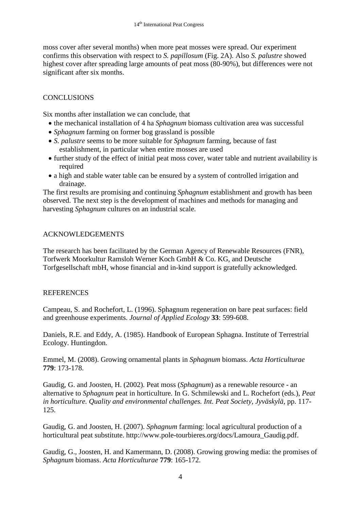moss cover after several months) when more peat mosses were spread. Our experiment confirms this observation with respect to *S. papillosum* (Fig. 2A). Also *S. palustre* showed highest cover after spreading large amounts of peat moss (80-90%), but differences were not significant after six months.

# **CONCLUSIONS**

Six months after installation we can conclude, that

- the mechanical installation of 4 ha *Sphagnum* biomass cultivation area was successful
- *Sphagnum* farming on former bog grassland is possible
- *S. palustre* seems to be more suitable for *Sphagnum* farming, because of fast establishment, in particular when entire mosses are used
- further study of the effect of initial peat moss cover, water table and nutrient availability is required
- a high and stable water table can be ensured by a system of controlled irrigation and drainage.

The first results are promising and continuing *Sphagnum* establishment and growth has been observed. The next step is the development of machines and methods for managing and harvesting *Sphagnum* cultures on an industrial scale.

# ACKNOWLEDGEMENTS

The research has been facilitated by the German Agency of Renewable Resources (FNR), Torfwerk Moorkultur Ramsloh Werner Koch GmbH & Co. KG, and Deutsche Torfgesellschaft mbH, whose financial and in-kind support is gratefully acknowledged.

# **REFERENCES**

Campeau, S. and Rochefort, L. (1996). Sphagnum regeneration on bare peat surfaces: field and greenhouse experiments. *Journal of Applied Ecology* **33**: 599-608.

Daniels, R.E. and Eddy, A. (1985). Handbook of European Sphagna. Institute of Terrestrial Ecology. Huntingdon.

Emmel, M. (2008). Growing ornamental plants in *Sphagnum* biomass. *Acta Horticulturae* **779**: 173-178.

Gaudig, G. and Joosten, H. (2002). Peat moss (*Sphagnum*) as a renewable resource - an alternative to *Sphagnum* peat in horticulture. In G. Schmilewski and L. Rochefort (eds.), *Peat in horticulture. Quality and environmental challenges. Int. Peat Society, Jyväskylä*, pp. 117- 125.

Gaudig, G. and Joosten, H. (2007). *Sphagnum* farming: local agricultural production of a horticultural peat substitute. [http://www.pole-tourbieres.org/docs/Lamoura\\_Gaudig.pdf.](http://www.pole-tourbieres.org/docs/Lamoura_Gaudig.pdf)

Gaudig, G., Joosten, H. and Kamermann, D. (2008). Growing growing media: the promises of *Sphagnum* biomass. *Acta Horticulturae* **779**: 165-172.